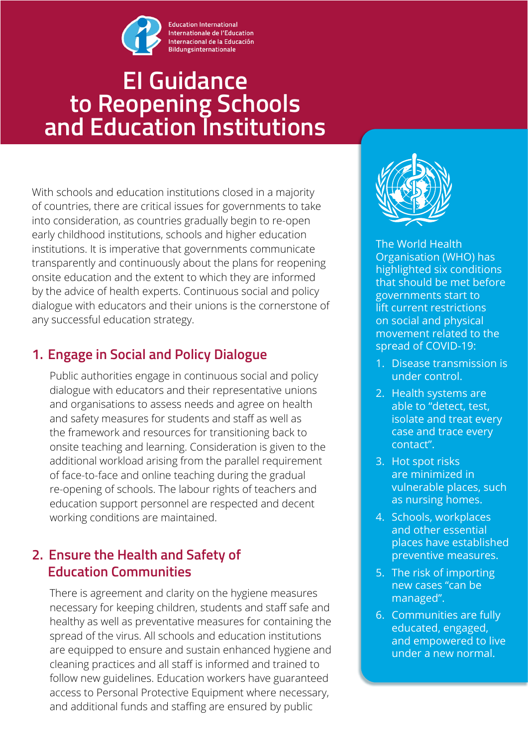

#### **Education International** Internationale de l'Education Internacional de la Educación **Bildungsinternationale**

# **EI Guidance to Reopening Schools and Education Institutions**

With schools and education institutions closed in a majority of countries, there are critical issues for governments to take into consideration, as countries gradually begin to re-open early childhood institutions, schools and higher education institutions. It is imperative that governments communicate transparently and continuously about the plans for reopening onsite education and the extent to which they are informed by the advice of health experts. Continuous social and policy dialogue with educators and their unions is the cornerstone of any successful education strategy.

# **1. Engage in Social and Policy Dialogue**

Public authorities engage in continuous social and policy dialogue with educators and their representative unions and organisations to assess needs and agree on health and safety measures for students and staff as well as the framework and resources for transitioning back to onsite teaching and learning. Consideration is given to the additional workload arising from the parallel requirement of face-to-face and online teaching during the gradual re-opening of schools. The labour rights of teachers and education support personnel are respected and decent working conditions are maintained.

# **2. Ensure the Health and Safety of Education Communities**

There is agreement and clarity on the hygiene measures necessary for keeping children, students and staff safe and healthy as well as preventative measures for containing the spread of the virus. All schools and education institutions are equipped to ensure and sustain enhanced hygiene and cleaning practices and all staff is informed and trained to follow new guidelines. Education workers have guaranteed access to Personal Protective Equipment where necessary, and additional funds and staffing are ensured by public



The World Health Organisation (WHO) has highlighted six conditions that should be met before governments start to lift current restrictions on social and physical movement related to the spread of COVID-19:

- 1. Disease transmission is under control.
- 2. Health systems are able to "detect, test, isolate and treat every case and trace every contact".
- 3. Hot spot risks are minimized in vulnerable places, such as nursing homes.
- 4. Schools, workplaces and other essential places have established preventive measures.
- 5. The risk of importing new cases "can be managed".
- 6. Communities are fully educated, engaged, and empowered to live under a new normal.